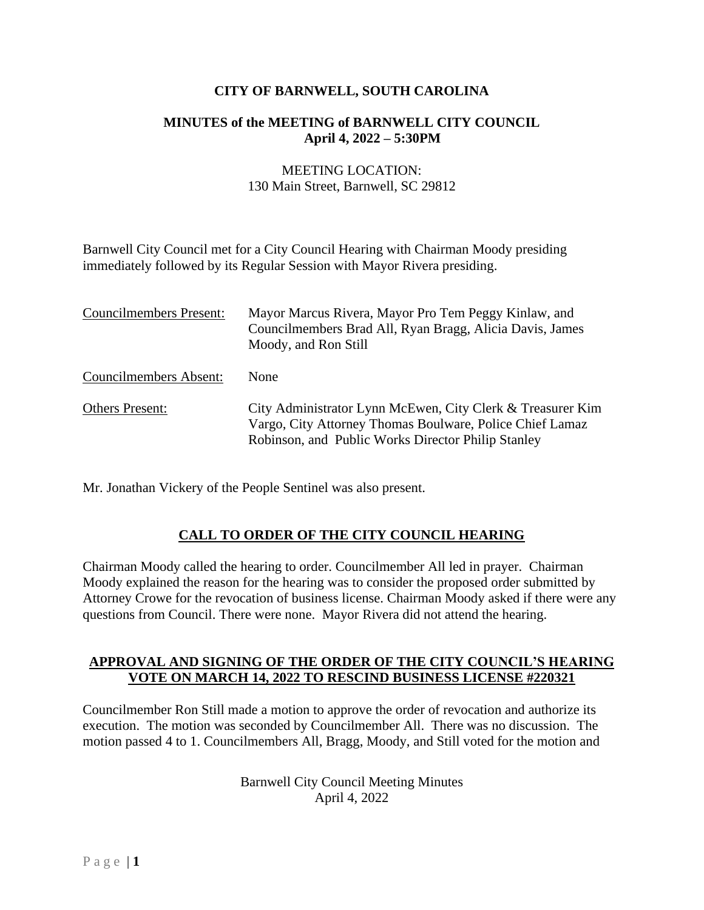#### **CITY OF BARNWELL, SOUTH CAROLINA**

#### **MINUTES of the MEETING of BARNWELL CITY COUNCIL April 4, 2022 – 5:30PM**

#### MEETING LOCATION: 130 Main Street, Barnwell, SC 29812

Barnwell City Council met for a City Council Hearing with Chairman Moody presiding immediately followed by its Regular Session with Mayor Rivera presiding.

| <b>Councilmembers Present:</b> | Mayor Marcus Rivera, Mayor Pro Tem Peggy Kinlaw, and<br>Councilmembers Brad All, Ryan Bragg, Alicia Davis, James<br>Moody, and Ron Still                                     |
|--------------------------------|------------------------------------------------------------------------------------------------------------------------------------------------------------------------------|
| <b>Councilmembers Absent:</b>  | None                                                                                                                                                                         |
| Others Present:                | City Administrator Lynn McEwen, City Clerk & Treasurer Kim<br>Vargo, City Attorney Thomas Boulware, Police Chief Lamaz<br>Robinson, and Public Works Director Philip Stanley |

Mr. Jonathan Vickery of the People Sentinel was also present.

## **CALL TO ORDER OF THE CITY COUNCIL HEARING**

Chairman Moody called the hearing to order. Councilmember All led in prayer. Chairman Moody explained the reason for the hearing was to consider the proposed order submitted by Attorney Crowe for the revocation of business license. Chairman Moody asked if there were any questions from Council. There were none. Mayor Rivera did not attend the hearing.

#### **APPROVAL AND SIGNING OF THE ORDER OF THE CITY COUNCIL'S HEARING VOTE ON MARCH 14, 2022 TO RESCIND BUSINESS LICENSE #220321**

Councilmember Ron Still made a motion to approve the order of revocation and authorize its execution. The motion was seconded by Councilmember All. There was no discussion. The motion passed 4 to 1. Councilmembers All, Bragg, Moody, and Still voted for the motion and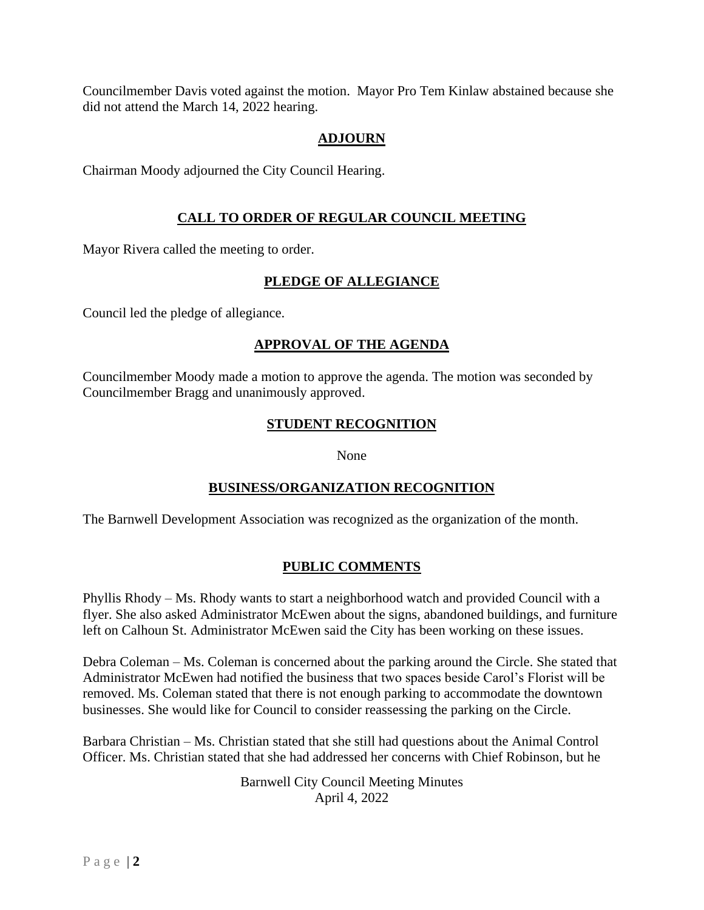Councilmember Davis voted against the motion. Mayor Pro Tem Kinlaw abstained because she did not attend the March 14, 2022 hearing.

### **ADJOURN**

Chairman Moody adjourned the City Council Hearing.

### **CALL TO ORDER OF REGULAR COUNCIL MEETING**

Mayor Rivera called the meeting to order.

#### **PLEDGE OF ALLEGIANCE**

Council led the pledge of allegiance.

### **APPROVAL OF THE AGENDA**

Councilmember Moody made a motion to approve the agenda. The motion was seconded by Councilmember Bragg and unanimously approved.

### **STUDENT RECOGNITION**

#### None

## **BUSINESS/ORGANIZATION RECOGNITION**

The Barnwell Development Association was recognized as the organization of the month.

#### **PUBLIC COMMENTS**

Phyllis Rhody – Ms. Rhody wants to start a neighborhood watch and provided Council with a flyer. She also asked Administrator McEwen about the signs, abandoned buildings, and furniture left on Calhoun St. Administrator McEwen said the City has been working on these issues.

Debra Coleman – Ms. Coleman is concerned about the parking around the Circle. She stated that Administrator McEwen had notified the business that two spaces beside Carol's Florist will be removed. Ms. Coleman stated that there is not enough parking to accommodate the downtown businesses. She would like for Council to consider reassessing the parking on the Circle.

Barbara Christian – Ms. Christian stated that she still had questions about the Animal Control Officer. Ms. Christian stated that she had addressed her concerns with Chief Robinson, but he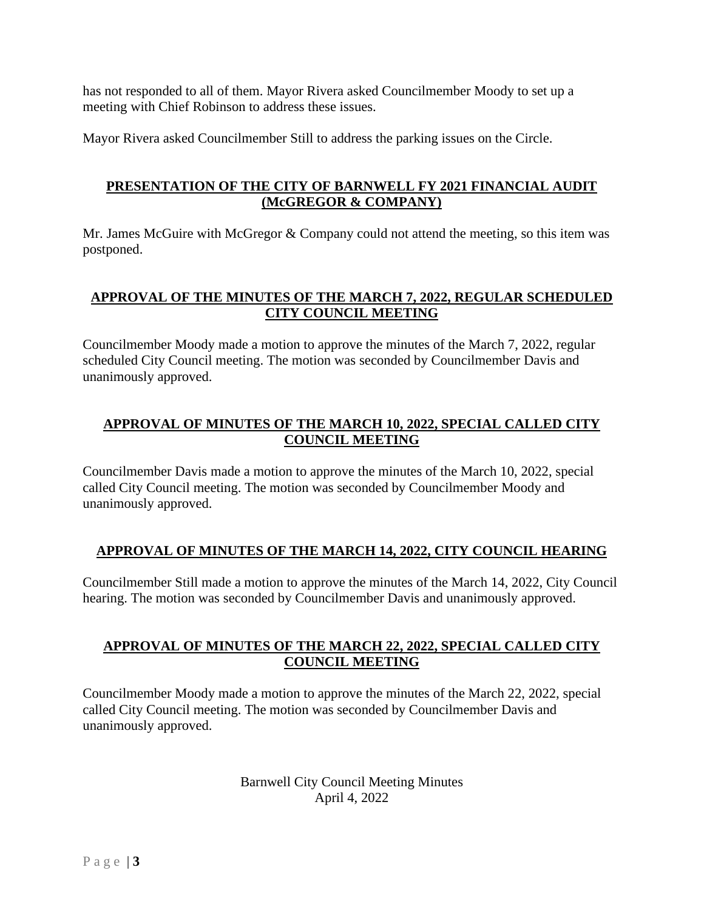has not responded to all of them. Mayor Rivera asked Councilmember Moody to set up a meeting with Chief Robinson to address these issues.

Mayor Rivera asked Councilmember Still to address the parking issues on the Circle.

### **PRESENTATION OF THE CITY OF BARNWELL FY 2021 FINANCIAL AUDIT (McGREGOR & COMPANY)**

Mr. James McGuire with McGregor & Company could not attend the meeting, so this item was postponed.

### **APPROVAL OF THE MINUTES OF THE MARCH 7, 2022, REGULAR SCHEDULED CITY COUNCIL MEETING**

Councilmember Moody made a motion to approve the minutes of the March 7, 2022, regular scheduled City Council meeting. The motion was seconded by Councilmember Davis and unanimously approved.

## **APPROVAL OF MINUTES OF THE MARCH 10, 2022, SPECIAL CALLED CITY COUNCIL MEETING**

Councilmember Davis made a motion to approve the minutes of the March 10, 2022, special called City Council meeting. The motion was seconded by Councilmember Moody and unanimously approved.

#### **APPROVAL OF MINUTES OF THE MARCH 14, 2022, CITY COUNCIL HEARING**

Councilmember Still made a motion to approve the minutes of the March 14, 2022, City Council hearing. The motion was seconded by Councilmember Davis and unanimously approved.

#### **APPROVAL OF MINUTES OF THE MARCH 22, 2022, SPECIAL CALLED CITY COUNCIL MEETING**

Councilmember Moody made a motion to approve the minutes of the March 22, 2022, special called City Council meeting. The motion was seconded by Councilmember Davis and unanimously approved.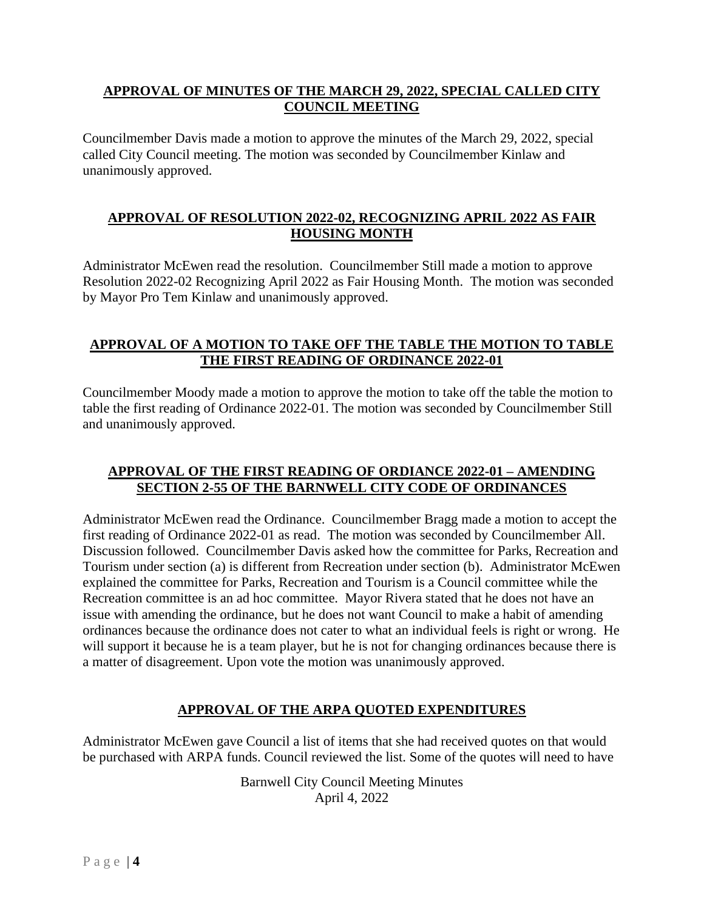#### **APPROVAL OF MINUTES OF THE MARCH 29, 2022, SPECIAL CALLED CITY COUNCIL MEETING**

Councilmember Davis made a motion to approve the minutes of the March 29, 2022, special called City Council meeting. The motion was seconded by Councilmember Kinlaw and unanimously approved.

### **APPROVAL OF RESOLUTION 2022-02, RECOGNIZING APRIL 2022 AS FAIR HOUSING MONTH**

Administrator McEwen read the resolution. Councilmember Still made a motion to approve Resolution 2022-02 Recognizing April 2022 as Fair Housing Month. The motion was seconded by Mayor Pro Tem Kinlaw and unanimously approved.

### **APPROVAL OF A MOTION TO TAKE OFF THE TABLE THE MOTION TO TABLE THE FIRST READING OF ORDINANCE 2022-01**

Councilmember Moody made a motion to approve the motion to take off the table the motion to table the first reading of Ordinance 2022-01. The motion was seconded by Councilmember Still and unanimously approved.

#### **APPROVAL OF THE FIRST READING OF ORDIANCE 2022-01 – AMENDING SECTION 2-55 OF THE BARNWELL CITY CODE OF ORDINANCES**

Administrator McEwen read the Ordinance. Councilmember Bragg made a motion to accept the first reading of Ordinance 2022-01 as read. The motion was seconded by Councilmember All. Discussion followed. Councilmember Davis asked how the committee for Parks, Recreation and Tourism under section (a) is different from Recreation under section (b). Administrator McEwen explained the committee for Parks, Recreation and Tourism is a Council committee while the Recreation committee is an ad hoc committee. Mayor Rivera stated that he does not have an issue with amending the ordinance, but he does not want Council to make a habit of amending ordinances because the ordinance does not cater to what an individual feels is right or wrong. He will support it because he is a team player, but he is not for changing ordinances because there is a matter of disagreement. Upon vote the motion was unanimously approved.

## **APPROVAL OF THE ARPA QUOTED EXPENDITURES**

Administrator McEwen gave Council a list of items that she had received quotes on that would be purchased with ARPA funds. Council reviewed the list. Some of the quotes will need to have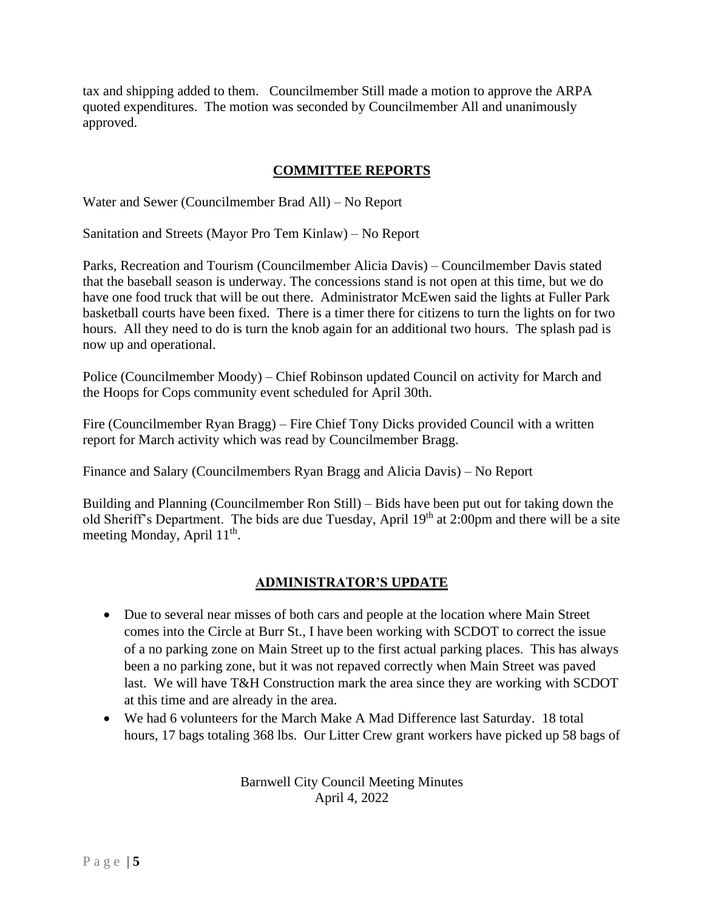tax and shipping added to them. Councilmember Still made a motion to approve the ARPA quoted expenditures. The motion was seconded by Councilmember All and unanimously approved.

### **COMMITTEE REPORTS**

Water and Sewer (Councilmember Brad All) – No Report

Sanitation and Streets (Mayor Pro Tem Kinlaw) – No Report

Parks, Recreation and Tourism (Councilmember Alicia Davis) – Councilmember Davis stated that the baseball season is underway. The concessions stand is not open at this time, but we do have one food truck that will be out there. Administrator McEwen said the lights at Fuller Park basketball courts have been fixed. There is a timer there for citizens to turn the lights on for two hours. All they need to do is turn the knob again for an additional two hours. The splash pad is now up and operational.

Police (Councilmember Moody) – Chief Robinson updated Council on activity for March and the Hoops for Cops community event scheduled for April 30th.

Fire (Councilmember Ryan Bragg) – Fire Chief Tony Dicks provided Council with a written report for March activity which was read by Councilmember Bragg.

Finance and Salary (Councilmembers Ryan Bragg and Alicia Davis) – No Report

Building and Planning (Councilmember Ron Still) – Bids have been put out for taking down the old Sheriff's Department. The bids are due Tuesday, April 19<sup>th</sup> at 2:00pm and there will be a site meeting Monday, April 11<sup>th</sup>.

#### **ADMINISTRATOR'S UPDATE**

- Due to several near misses of both cars and people at the location where Main Street comes into the Circle at Burr St., I have been working with SCDOT to correct the issue of a no parking zone on Main Street up to the first actual parking places. This has always been a no parking zone, but it was not repaved correctly when Main Street was paved last. We will have T&H Construction mark the area since they are working with SCDOT at this time and are already in the area.
- We had 6 volunteers for the March Make A Mad Difference last Saturday. 18 total hours, 17 bags totaling 368 lbs. Our Litter Crew grant workers have picked up 58 bags of